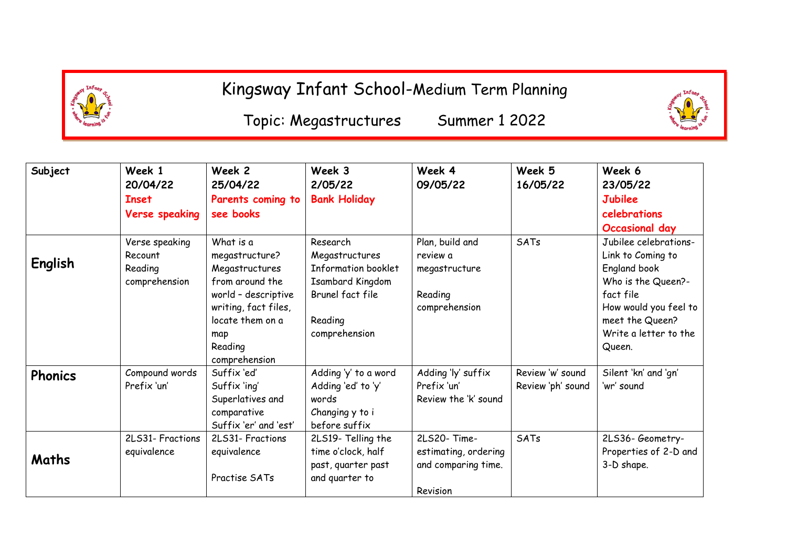

## Kingsway Infant School-Medium Term Planning

Topic: Megastructures Summer 1 2022

| Subject        | Week 1<br>20/04/22    | Week 2<br>25/04/22    | Week 3<br>2/05/22          | Week 4<br>09/05/22   | Week 5<br>16/05/22 | Week 6<br>23/05/22    |
|----------------|-----------------------|-----------------------|----------------------------|----------------------|--------------------|-----------------------|
|                | <b>Inset</b>          | Parents coming to     | <b>Bank Holiday</b>        |                      |                    | <b>Jubilee</b>        |
|                | <b>Verse speaking</b> | see books             |                            |                      |                    | celebrations          |
|                |                       |                       |                            |                      |                    | <b>Occasional day</b> |
| English        | Verse speaking        | What is a             | Research                   | Plan, build and      | SATs               | Jubilee celebrations- |
|                | Recount               | megastructure?        | Megastructures             | review a             |                    | Link to Coming to     |
|                | Reading               | Megastructures        | <b>Information booklet</b> | megastructure        |                    | England book          |
|                | comprehension         | from around the       | <b>Isambard Kingdom</b>    |                      |                    | Who is the Queen?-    |
|                |                       | world - descriptive   | Brunel fact file           | Reading              |                    | fact file             |
|                |                       | writing, fact files,  |                            | comprehension        |                    | How would you feel to |
|                |                       | locate them on a      | Reading                    |                      |                    | meet the Queen?       |
|                |                       | map                   | comprehension              |                      |                    | Write a letter to the |
|                |                       | Reading               |                            |                      |                    | Queen.                |
|                |                       | comprehension         |                            |                      |                    |                       |
| <b>Phonics</b> | Compound words        | Suffix 'ed'           | Adding 'y' to a word       | Adding 'ly' suffix   | Review 'w' sound   | Silent 'kn' and 'gn'  |
|                | Prefix 'un'           | Suffix 'ing'          | Adding 'ed' to 'y'         | Prefix 'un'          | Review 'ph' sound  | 'wr' sound            |
|                |                       | Superlatives and      | words                      | Review the 'k' sound |                    |                       |
|                |                       | comparative           | Changing y to i            |                      |                    |                       |
|                |                       | Suffix 'er' and 'est' | before suffix              |                      |                    |                       |
|                | 2LS31- Fractions      | 2LS31- Fractions      | 2LS19- Telling the         | 2LS20-Time-          | SATs               | 2LS36-Geometry-       |
| Maths          | equivalence           | equivalence           | time o'clock, half         | estimating, ordering |                    | Properties of 2-D and |
|                |                       |                       | past, quarter past         | and comparing time.  |                    | 3-D shape.            |
|                |                       | Practise SATs         | and quarter to             |                      |                    |                       |
|                |                       |                       |                            | Revision             |                    |                       |